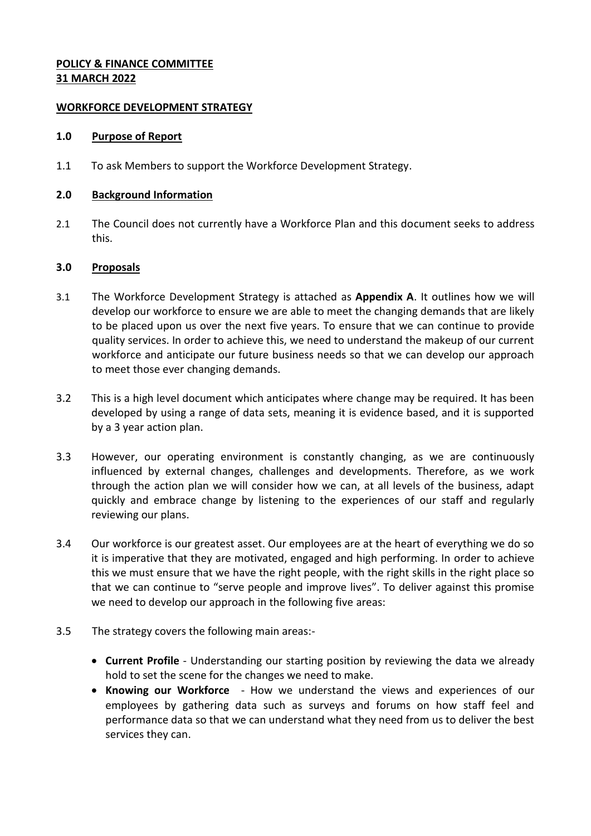## **POLICY & FINANCE COMMITTEE 31 MARCH 2022**

### **WORKFORCE DEVELOPMENT STRATEGY**

#### **1.0 Purpose of Report**

1.1 To ask Members to support the Workforce Development Strategy.

#### **2.0 Background Information**

2.1 The Council does not currently have a Workforce Plan and this document seeks to address this.

# **3.0 Proposals**

- 3.1 The Workforce Development Strategy is attached as **Appendix A**. It outlines how we will develop our workforce to ensure we are able to meet the changing demands that are likely to be placed upon us over the next five years. To ensure that we can continue to provide quality services. In order to achieve this, we need to understand the makeup of our current workforce and anticipate our future business needs so that we can develop our approach to meet those ever changing demands.
- 3.2 This is a high level document which anticipates where change may be required. It has been developed by using a range of data sets, meaning it is evidence based, and it is supported by a 3 year action plan.
- 3.3 However, our operating environment is constantly changing, as we are continuously influenced by external changes, challenges and developments. Therefore, as we work through the action plan we will consider how we can, at all levels of the business, adapt quickly and embrace change by listening to the experiences of our staff and regularly reviewing our plans.
- 3.4 Our workforce is our greatest asset. Our employees are at the heart of everything we do so it is imperative that they are motivated, engaged and high performing. In order to achieve this we must ensure that we have the right people, with the right skills in the right place so that we can continue to "serve people and improve lives". To deliver against this promise we need to develop our approach in the following five areas:
- 3.5 The strategy covers the following main areas:-
	- **Current Profile** Understanding our starting position by reviewing the data we already hold to set the scene for the changes we need to make.
	- **Knowing our Workforce** How we understand the views and experiences of our employees by gathering data such as surveys and forums on how staff feel and performance data so that we can understand what they need from us to deliver the best services they can.